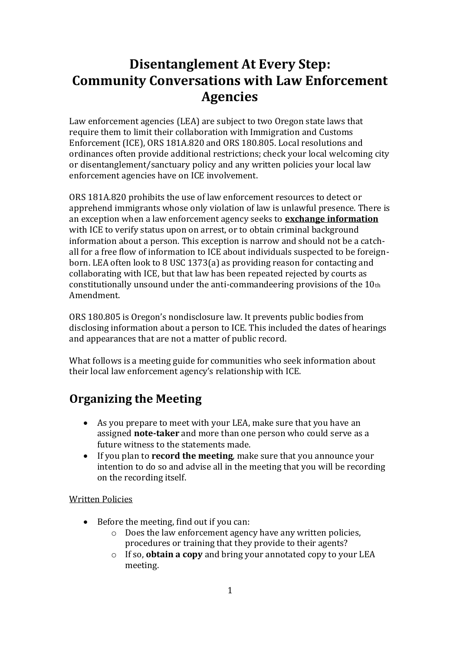# **Disentanglement At Every Step: Community Conversations with Law Enforcement Agencies**

Law enforcement agencies (LEA) are subject to two Oregon state laws that require them to limit their collaboration with Immigration and Customs Enforcement (ICE), ORS 181A.820 and ORS 180.805. Local resolutions and ordinances often provide additional restrictions; check your local welcoming city or disentanglement/sanctuary policy and any written policies your local law enforcement agencies have on ICE involvement.

ORS 181A.820 prohibits the use of law enforcement resources to detect or apprehend immigrants whose only violation of law is unlawful presence. There is an exception when a law enforcement agency seeks to **exchange information** with ICE to verify status upon on arrest, or to obtain criminal background information about a person. This exception is narrow and should not be a catchall for a free flow of information to ICE about individuals suspected to be foreignborn. LEA often look to 8 USC 1373(a) as providing reason for contacting and collaborating with ICE, but that law has been repeated rejected by courts as constitutionally unsound under the anti-commandeering provisions of the 10th Amendment.

ORS 180.805 is Oregon's nondisclosure law. It prevents public bodies from disclosing information about a person to ICE. This included the dates of hearings and appearances that are not a matter of public record.

What follows is a meeting guide for communities who seek information about their local law enforcement agency's relationship with ICE.

## **Organizing the Meeting**

- As you prepare to meet with your LEA, make sure that you have an assigned **note-taker** and more than one person who could serve as a future witness to the statements made.
- If you plan to **record the meeting**, make sure that you announce your intention to do so and advise all in the meeting that you will be recording on the recording itself.

#### Written Policies

- Before the meeting, find out if you can:
	- o Does the law enforcement agency have any written policies, procedures or training that they provide to their agents?
	- o If so, **obtain a copy** and bring your annotated copy to your LEA meeting.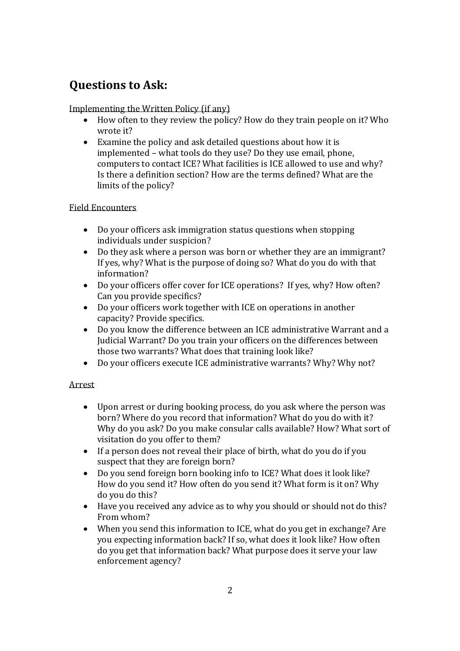## **Questions to Ask:**

## Implementing the Written Policy (if any)

- How often to they review the policy? How do they train people on it? Who wrote it?
- Examine the policy and ask detailed questions about how it is implemented – what tools do they use? Do they use email, phone, computers to contact ICE? What facilities is ICE allowed to use and why? Is there a definition section? How are the terms defined? What are the limits of the policy?

## Field Encounters

- Do your officers ask immigration status questions when stopping individuals under suspicion?
- Do they ask where a person was born or whether they are an immigrant? If yes, why? What is the purpose of doing so? What do you do with that information?
- Do your officers offer cover for ICE operations? If yes, why? How often? Can you provide specifics?
- Do your officers work together with ICE on operations in another capacity? Provide specifics.
- Do you know the difference between an ICE administrative Warrant and a Judicial Warrant? Do you train your officers on the differences between those two warrants? What does that training look like?
- Do your officers execute ICE administrative warrants? Why? Why not?

## Arrest

- Upon arrest or during booking process, do you ask where the person was born? Where do you record that information? What do you do with it? Why do you ask? Do you make consular calls available? How? What sort of visitation do you offer to them?
- If a person does not reveal their place of birth, what do you do if you suspect that they are foreign born?
- Do you send foreign born booking info to ICE? What does it look like? How do you send it? How often do you send it? What form is it on? Why do you do this?
- Have you received any advice as to why you should or should not do this? From whom?
- When you send this information to ICE, what do you get in exchange? Are you expecting information back? If so, what does it look like? How often do you get that information back? What purpose does it serve your law enforcement agency?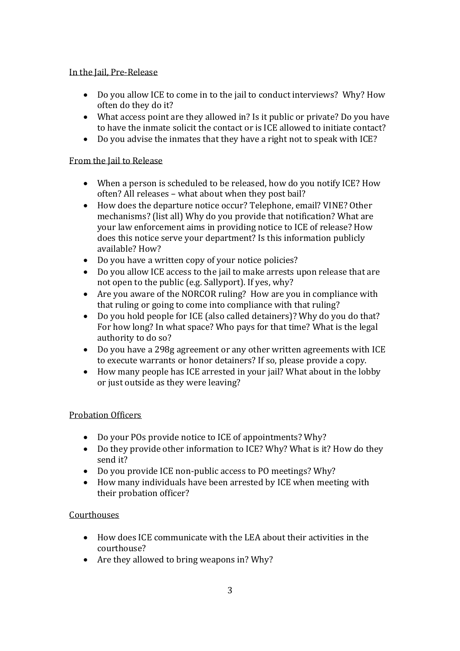#### In the Jail, Pre-Release

- Do you allow ICE to come in to the jail to conduct interviews? Why? How often do they do it?
- What access point are they allowed in? Is it public or private? Do you have to have the inmate solicit the contact or is ICE allowed to initiate contact?
- Do you advise the inmates that they have a right not to speak with ICE?

#### From the Jail to Release

- When a person is scheduled to be released, how do you notify ICE? How often? All releases – what about when they post bail?
- How does the departure notice occur? Telephone, email? VINE? Other mechanisms? (list all) Why do you provide that notification? What are your law enforcement aims in providing notice to ICE of release? How does this notice serve your department? Is this information publicly available? How?
- Do you have a written copy of your notice policies?
- Do you allow ICE access to the jail to make arrests upon release that are not open to the public (e.g. Sallyport). If yes, why?
- Are you aware of the NORCOR ruling? How are you in compliance with that ruling or going to come into compliance with that ruling?
- Do you hold people for ICE (also called detainers)? Why do you do that? For how long? In what space? Who pays for that time? What is the legal authority to do so?
- Do you have a 298g agreement or any other written agreements with ICE to execute warrants or honor detainers? If so, please provide a copy.
- How many people has ICE arrested in your jail? What about in the lobby or just outside as they were leaving?

#### Probation Officers

- Do your POs provide notice to ICE of appointments? Why?
- Do they provide other information to ICE? Why? What is it? How do they send it?
- Do you provide ICE non-public access to PO meetings? Why?
- How many individuals have been arrested by ICE when meeting with their probation officer?

#### **Courthouses**

- How does ICE communicate with the LEA about their activities in the courthouse?
- Are they allowed to bring weapons in? Why?